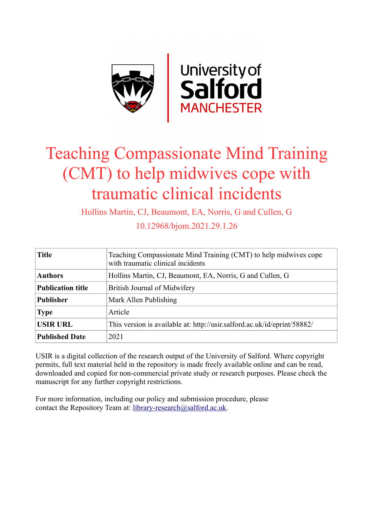

# Teaching Compassionate Mind Training (CMT) to help midwives cope with traumatic clinical incidents

Hollins Martin, CJ, Beaumont, EA, Norris, G and Cullen, G

10.12968/bjom.2021.29.1.26

| <b>Title</b>             | Teaching Compassionate Mind Training (CMT) to help midwives cope<br>with traumatic clinical incidents |  |  |
|--------------------------|-------------------------------------------------------------------------------------------------------|--|--|
| <b>Authors</b>           | Hollins Martin, CJ, Beaumont, EA, Norris, G and Cullen, G                                             |  |  |
| <b>Publication title</b> | British Journal of Midwifery                                                                          |  |  |
| <b>Publisher</b>         | Mark Allen Publishing                                                                                 |  |  |
| <b>Type</b>              | Article                                                                                               |  |  |
| <b>USIR URL</b>          | This version is available at: http://usir.salford.ac.uk/id/eprint/58882/                              |  |  |
| <b>Published Date</b>    | 2021                                                                                                  |  |  |

USIR is a digital collection of the research output of the University of Salford. Where copyright permits, full text material held in the repository is made freely available online and can be read, downloaded and copied for non-commercial private study or research purposes. Please check the manuscript for any further copyright restrictions.

For more information, including our policy and submission procedure, please contact the Repository Team at: [library-research@salford.ac.uk.](mailto:library-research@salford.ac.uk)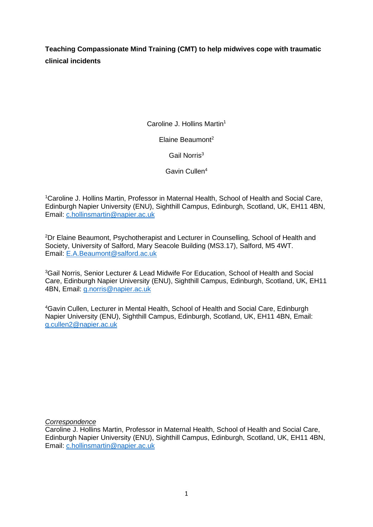**Teaching Compassionate Mind Training (CMT) to help midwives cope with traumatic clinical incidents**

Caroline J. Hollins Martin<sup>1</sup>

Elaine Beaumont<sup>2</sup>

Gail Norris<sup>3</sup>

Gavin Cullen<sup>4</sup>

<sup>1</sup>Caroline J. Hollins Martin, Professor in Maternal Health, School of Health and Social Care, Edinburgh Napier University (ENU), Sighthill Campus, Edinburgh, Scotland, UK, EH11 4BN, Email: [c.hollinsmartin@napier.ac.uk](mailto:c.hollinsmartin@napier.ac.uk)

<sup>2</sup>Dr Elaine Beaumont, Psychotherapist and Lecturer in Counselling, School of Health and Society, University of Salford, Mary Seacole Building (MS3.17), Salford, M5 4WT. Email: [E.A.Beaumont@salford.ac.uk](mailto:E.A.Beaumont@salford.ac.uk)

<sup>3</sup>Gail Norris, Senior Lecturer & Lead Midwife For Education, School of Health and Social Care, Edinburgh Napier University (ENU), Sighthill Campus, Edinburgh, Scotland, UK, EH11 4BN, Email: [g.norris@napier.ac.uk](mailto:g.norris@napier.ac.uk)

<sup>4</sup>Gavin Cullen, Lecturer in Mental Health, School of Health and Social Care, Edinburgh Napier University (ENU), Sighthill Campus, Edinburgh, Scotland, UK, EH11 4BN, Email: [g.cullen2@napier.ac.uk](mailto:g.cullen2@napier.ac.uk)

*Correspondence*

Caroline J. Hollins Martin, Professor in Maternal Health, School of Health and Social Care, Edinburgh Napier University (ENU), Sighthill Campus, Edinburgh, Scotland, UK, EH11 4BN, Email: [c.hollinsmartin@napier.ac.uk](mailto:c.hollinsmartin@napier.ac.uk)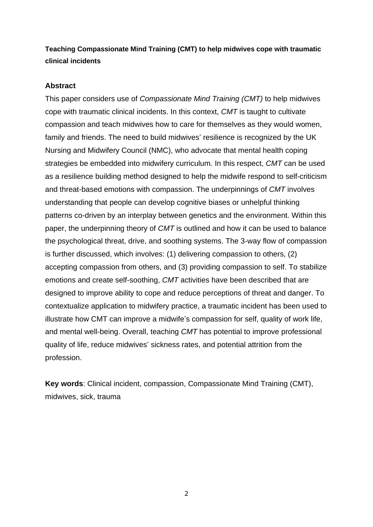# **Teaching Compassionate Mind Training (CMT) to help midwives cope with traumatic clinical incidents**

## **Abstract**

This paper considers use of *Compassionate Mind Training (CMT)* to help midwives cope with traumatic clinical incidents. In this context, *CMT* is taught to cultivate compassion and teach midwives how to care for themselves as they would women, family and friends. The need to build midwives' resilience is recognized by the UK Nursing and Midwifery Council (NMC), who advocate that mental health coping strategies be embedded into midwifery curriculum*.* In this respect, *CMT* can be used as a resilience building method designed to help the midwife respond to self-criticism and threat-based emotions with compassion. The underpinnings of *CMT* involves understanding that people can develop cognitive biases or unhelpful thinking patterns co-driven by an interplay between genetics and the environment. Within this paper, the underpinning theory of *CMT* is outlined and how it can be used to balance the psychological threat, drive, and soothing systems. The 3-way flow of compassion is further discussed, which involves: (1) delivering compassion to others, (2) accepting compassion from others, and (3) providing compassion to self. To stabilize emotions and create self-soothing, *CMT* activities have been described that are designed to improve ability to cope and reduce perceptions of threat and danger. To contextualize application to midwifery practice, a traumatic incident has been used to illustrate how CMT can improve a midwife's compassion for self, quality of work life, and mental well-being. Overall, teaching *CMT* has potential to improve professional quality of life, reduce midwives' sickness rates, and potential attrition from the profession.

**Key words**: Clinical incident, compassion, Compassionate Mind Training (CMT), midwives, sick, trauma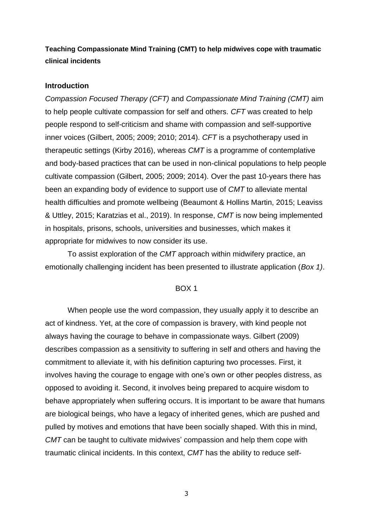# **Teaching Compassionate Mind Training (CMT) to help midwives cope with traumatic clinical incidents**

#### **Introduction**

*Compassion Focused Therapy (CFT)* and *Compassionate Mind Training (CMT)* aim to help people cultivate compassion for self and others. *CFT* was created to help people respond to self-criticism and shame with compassion and self-supportive inner voices (Gilbert, 2005; 2009; 2010; 2014). *CFT* is a psychotherapy used in therapeutic settings (Kirby 2016), whereas *CMT* is a programme of contemplative and body-based practices that can be used in non-clinical populations to help people cultivate compassion (Gilbert, 2005; 2009; 2014). Over the past 10-years there has been an expanding body of evidence to support use of *CMT* to alleviate mental health difficulties and promote wellbeing (Beaumont & Hollins Martin, 2015; Leaviss & Uttley, 2015; Karatzias et al., 2019). In response, *CMT* is now being implemented in hospitals, prisons, schools, universities and businesses, which makes it appropriate for midwives to now consider its use.

To assist exploration of the *CMT* approach within midwifery practice, an emotionally challenging incident has been presented to illustrate application (*Box 1)*.

#### BOX 1

When people use the word compassion, they usually apply it to describe an act of kindness. Yet, at the core of compassion is bravery, with kind people not always having the courage to behave in compassionate ways. Gilbert (2009) describes compassion as a sensitivity to suffering in self and others and having the commitment to alleviate it, with his definition capturing two processes. First, it involves having the courage to engage with one's own or other peoples distress, as opposed to avoiding it. Second, it involves being prepared to acquire wisdom to behave appropriately when suffering occurs. It is important to be aware that humans are biological beings, who have a legacy of inherited genes, which are pushed and pulled by motives and emotions that have been socially shaped. With this in mind, *CMT* can be taught to cultivate midwives' compassion and help them cope with traumatic clinical incidents. In this context, *CMT* has the ability to reduce self-

3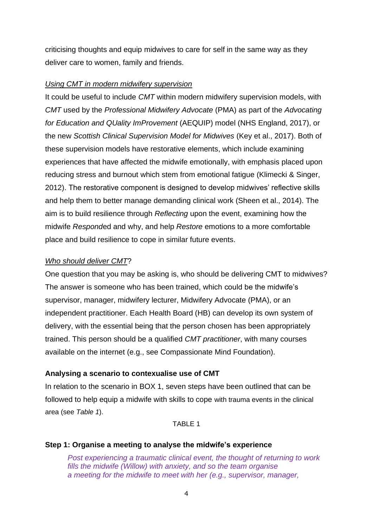criticising thoughts and equip midwives to care for self in the same way as they deliver care to women, family and friends.

#### *Using CMT in modern midwifery supervision*

It could be useful to include *CMT* within modern midwifery supervision models, with *CMT* used by the *Professional Midwifery Advocate* (PMA) as part of the *Advocating for Education and QUality ImProvement* (AEQUIP) model (NHS England, 2017), or the new *Scottish Clinical Supervision Model for Midwives* (Key et al., 2017). Both of these supervision models have restorative elements, which include examining experiences that have affected the midwife emotionally, with emphasis placed upon reducing stress and burnout which stem from emotional fatigue (Klimecki & Singer, 2012). The restorative component is designed to develop midwives' reflective skills and help them to better manage demanding clinical work (Sheen et al., 2014). The aim is to build resilience through *Reflecting* upon the event, examining how the midwife *Respond*ed and why, and help *Restore* emotions to a more comfortable place and build resilience to cope in similar future events.

#### *Who should deliver CMT*?

One question that you may be asking is, who should be delivering CMT to midwives? The answer is someone who has been trained, which could be the midwife's supervisor, manager, midwifery lecturer, Midwifery Advocate (PMA), or an independent practitioner. Each Health Board (HB) can develop its own system of delivery, with the essential being that the person chosen has been appropriately trained. This person should be a qualified *CMT practitioner*, with many courses available on the internet (e.g., see Compassionate Mind Foundation).

#### **Analysing a scenario to contexualise use of CMT**

In relation to the scenario in BOX 1, seven steps have been outlined that can be followed to help equip a midwife with skills to cope with trauma events in the clinical area (see *Table 1*).

#### TARI F 1

#### **Step 1: Organise a meeting to analyse the midwife's experience**

*Post experiencing a traumatic clinical event, the thought of returning to work fills the midwife (Willow) with anxiety, and so the team organise a meeting for the midwife to meet with her (e.g., supervisor, manager,*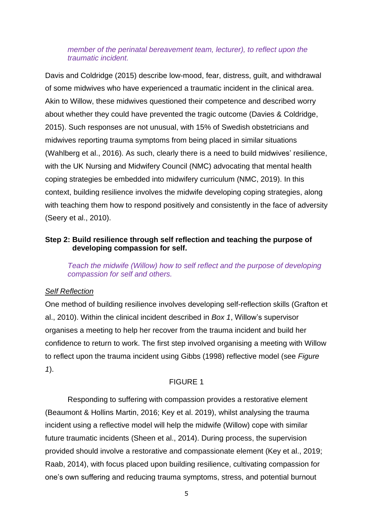## *member of the perinatal bereavement team, lecturer), to reflect upon the traumatic incident.*

Davis and Coldridge (2015) describe low-mood, fear, distress, guilt, and withdrawal of some midwives who have experienced a traumatic incident in the clinical area. Akin to Willow, these midwives questioned their competence and described worry about whether they could have prevented the tragic outcome (Davies & Coldridge, 2015). Such responses are not unusual, with 15% of Swedish obstetricians and midwives reporting trauma symptoms from being placed in similar situations (Wahlberg et al., 2016). As such, clearly there is a need to build midwives' resilience, with the UK Nursing and Midwifery Council (NMC) advocating that mental health coping strategies be embedded into midwifery curriculum (NMC, 2019). In this context, building resilience involves the midwife developing coping strategies, along with teaching them how to respond positively and consistently in the face of adversity (Seery et al., 2010).

# **Step 2: Build resilience through self reflection and teaching the purpose of developing compassion for self.**

*Teach the midwife (Willow) how to self reflect and the purpose of developing compassion for self and others.*

# *Self Reflection*

One method of building resilience involves developing self-reflection skills (Grafton et al., 2010). Within the clinical incident described in *Box 1*, Willow's supervisor organises a meeting to help her recover from the trauma incident and build her confidence to return to work. The first step involved organising a meeting with Willow to reflect upon the trauma incident using Gibbs (1998) reflective model (see *Figure 1*).

# FIGURE 1

Responding to suffering with compassion provides a restorative element (Beaumont & Hollins Martin, 2016; Key et al. 2019), whilst analysing the trauma incident using a reflective model will help the midwife (Willow) cope with similar future traumatic incidents (Sheen et al., 2014). During process, the supervision provided should involve a restorative and compassionate element (Key et al., 2019; Raab, 2014), with focus placed upon building resilience, cultivating compassion for one's own suffering and reducing trauma symptoms, stress, and potential burnout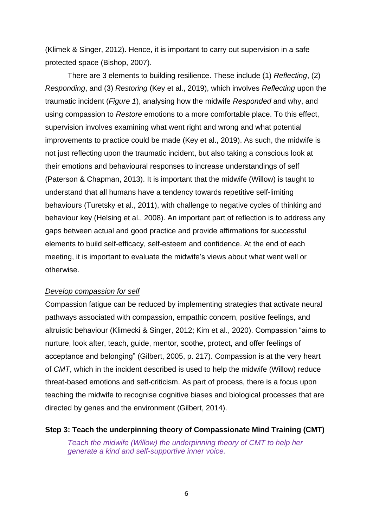(Klimek & Singer, 2012). Hence, it is important to carry out supervision in a safe protected space (Bishop, 2007).

There are 3 elements to building resilience. These include (1) *Reflecting*, (2) *Responding*, and (3) *Restoring* (Key et al., 2019), which involves *Reflecting* upon the traumatic incident (*Figure 1*), analysing how the midwife *Responded* and why, and using compassion to *Restore* emotions to a more comfortable place. To this effect, supervision involves examining what went right and wrong and what potential improvements to practice could be made (Key et al., 2019). As such, the midwife is not just reflecting upon the traumatic incident, but also taking a conscious look at their emotions and behavioural responses to increase understandings of self (Paterson & Chapman, 2013). It is important that the midwife (Willow) is taught to understand that all humans have a tendency towards repetitive self-limiting behaviours (Turetsky et al., 2011), with challenge to negative cycles of thinking and behaviour key (Helsing et al., 2008). An important part of reflection is to address any gaps between actual and good practice and provide affirmations for successful elements to build self-efficacy, self-esteem and confidence. At the end of each meeting, it is important to evaluate the midwife's views about what went well or otherwise.

#### *Develop compassion for self*

Compassion fatigue can be reduced by implementing strategies that activate neural pathways associated with compassion, empathic concern, positive feelings, and altruistic behaviour (Klimecki & Singer, 2012; Kim et al., 2020). Compassion "aims to nurture, look after, teach, guide, mentor, soothe, protect, and offer feelings of acceptance and belonging" (Gilbert, 2005, p. 217). Compassion is at the very heart of *CMT*, which in the incident described is used to help the midwife (Willow) reduce threat-based emotions and self-criticism. As part of process, there is a focus upon teaching the midwife to recognise cognitive biases and biological processes that are directed by genes and the environment (Gilbert, 2014).

**Step 3: Teach the underpinning theory of Compassionate Mind Training (CMT)** *Teach the midwife (Willow) the underpinning theory of CMT to help her generate a kind and self-supportive inner voice.*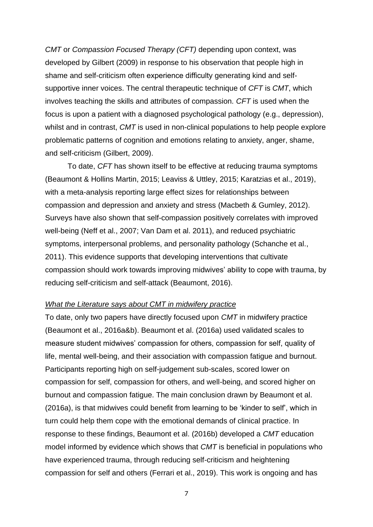*CMT* or *Compassion Focused Therapy (CFT)* depending upon context, was developed by Gilbert (2009) in response to his observation that people high in shame and self-criticism often experience difficulty generating kind and selfsupportive inner voices. The central therapeutic technique of *CFT* is *CMT*, which involves teaching the skills and attributes of compassion. *CFT* is used when the focus is upon a patient with a diagnosed psychological pathology (e.g., depression), whilst and in contrast, *CMT* is used in non-clinical populations to help people explore problematic patterns of cognition and emotions relating to anxiety, anger, shame, and self-criticism (Gilbert, 2009).

To date, *CFT* has shown itself to be effective at reducing trauma symptoms (Beaumont & Hollins Martin, 2015; Leaviss & Uttley, 2015; Karatzias et al., 2019), with a meta-analysis reporting large effect sizes for relationships between compassion and depression and anxiety and stress (Macbeth & Gumley, 2012). Surveys have also shown that self-compassion positively correlates with improved well-being (Neff et al., 2007; Van Dam et al. 2011), and reduced psychiatric symptoms, interpersonal problems, and personality pathology (Schanche et al., 2011). This evidence supports that developing interventions that cultivate compassion should work towards improving midwives' ability to cope with trauma, by reducing self-criticism and self-attack (Beaumont, 2016).

#### *What the Literature says about CMT in midwifery practice*

To date, only two papers have directly focused upon *CMT* in midwifery practice (Beaumont et al., 2016a&b). Beaumont et al. (2016a) used validated scales to measure student midwives' compassion for others, compassion for self, quality of life, mental well-being, and their association with compassion fatigue and burnout. Participants reporting high on self-judgement sub-scales, scored lower on compassion for self, compassion for others, and well-being, and scored higher on burnout and compassion fatigue. The main conclusion drawn by Beaumont et al. (2016a), is that midwives could benefit from learning to be 'kinder to self', which in turn could help them cope with the emotional demands of clinical practice. In response to these findings, Beaumont et al. (2016b) developed a *CMT* education model informed by evidence which shows that *CMT* is beneficial in populations who have experienced trauma, through reducing self-criticism and heightening compassion for self and others (Ferrari et al., 2019). This work is ongoing and has

7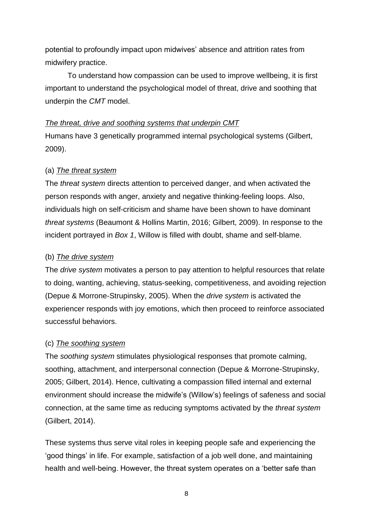potential to profoundly impact upon midwives' absence and attrition rates from midwifery practice.

To understand how compassion can be used to improve wellbeing, it is first important to understand the psychological model of threat, drive and soothing that underpin the *CMT* model.

## *The threat, drive and soothing systems that underpin CMT*

Humans have 3 genetically programmed internal psychological systems (Gilbert, 2009).

## (a) *The threat system*

The *threat system* directs attention to perceived danger, and when activated the person responds with anger, anxiety and negative thinking-feeling loops. Also, individuals high on self-criticism and shame have been shown to have dominant *threat systems* (Beaumont & Hollins Martin, 2016; Gilbert, 2009). In response to the incident portrayed in *Box 1*, Willow is filled with doubt, shame and self-blame.

## (b) *The drive system*

The *drive system* motivates a person to pay attention to helpful resources that relate to doing, wanting, achieving, status-seeking, competitiveness, and avoiding rejection (Depue & Morrone-Strupinsky, 2005). When the *drive system* is activated the experiencer responds with joy emotions, which then proceed to reinforce associated successful behaviors.

# (c) *The soothing system*

The *soothing system* stimulates physiological responses that promote calming, soothing, attachment, and interpersonal connection (Depue & Morrone-Strupinsky, 2005; Gilbert, 2014). Hence, cultivating a compassion filled internal and external environment should increase the midwife's (Willow's) feelings of safeness and social connection, at the same time as reducing symptoms activated by the *threat system* (Gilbert, 2014).

These systems thus serve vital roles in keeping people safe and experiencing the 'good things' in life. For example, satisfaction of a job well done, and maintaining health and well-being. However, the threat system operates on a 'better safe than

8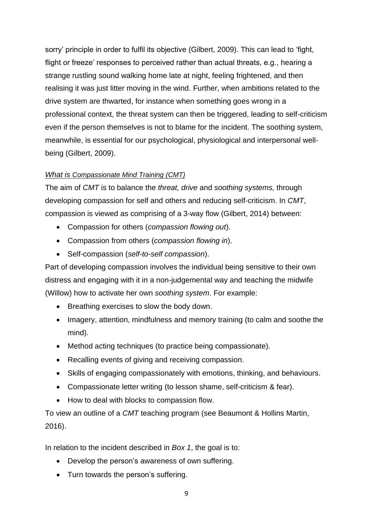sorry' principle in order to fulfil its objective (Gilbert, 2009). This can lead to 'fight, flight or freeze' responses to perceived rather than actual threats, e.g., hearing a strange rustling sound walking home late at night, feeling frightened, and then realising it was just litter moving in the wind. Further, when ambitions related to the drive system are thwarted, for instance when something goes wrong in a professional context, the threat system can then be triggered, leading to self-criticism even if the person themselves is not to blame for the incident. The soothing system, meanwhile, is essential for our psychological, physiological and interpersonal wellbeing (Gilbert, 2009).

# *What is Compassionate Mind Training (CMT)*

The aim of *CMT* is to balance the *threat, drive* and *soothing systems,* through developing compassion for self and others and reducing self-criticism. In *CMT*, compassion is viewed as comprising of a 3-way flow (Gilbert, 2014) between:

- Compassion for others (*compassion flowing out*).
- Compassion from others (*compassion flowing in*).
- Self-compassion (*self-to-self compassion*).

Part of developing compassion involves the individual being sensitive to their own distress and engaging with it in a non-judgemental way and teaching the midwife (Willow) how to activate her own *soothing system*. For example:

- Breathing exercises to slow the body down.
- Imagery, attention, mindfulness and memory training (to calm and soothe the mind).
- Method acting techniques (to practice being compassionate).
- Recalling events of giving and receiving compassion.
- Skills of engaging compassionately with emotions, thinking, and behaviours.
- Compassionate letter writing (to lesson shame, self-criticism & fear).
- How to deal with blocks to compassion flow.

To view an outline of a *CMT* teaching program (see Beaumont & Hollins Martin, 2016).

In relation to the incident described in *Box 1*, the goal is to:

- Develop the person's awareness of own suffering.
- Turn towards the person's suffering.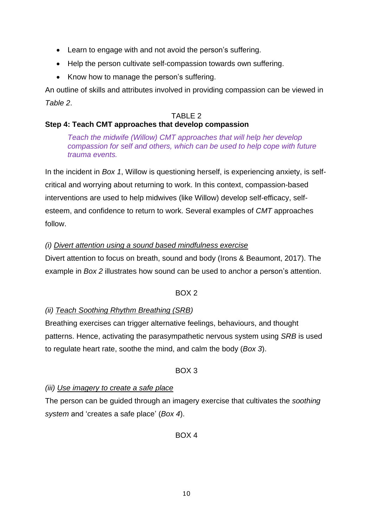- Learn to engage with and not avoid the person's suffering.
- Help the person cultivate self-compassion towards own suffering.
- Know how to manage the person's suffering.

An outline of skills and attributes involved in providing compassion can be viewed in *Table 2*.

# TABLE 2

# **Step 4: Teach CMT approaches that develop compassion**

*Teach the midwife (Willow) CMT approaches that will help her develop compassion for self and others, which can be used to help cope with future trauma events.*

In the incident in *Box 1*, Willow is questioning herself, is experiencing anxiety, is selfcritical and worrying about returning to work. In this context, compassion-based interventions are used to help midwives (like Willow) develop self-efficacy, selfesteem, and confidence to return to work. Several examples of *CMT* approaches follow.

# *(i) Divert attention using a sound based mindfulness exercise*

Divert attention to focus on breath, sound and body (Irons & Beaumont, 2017). The example in *Box 2* illustrates how sound can be used to anchor a person's attention.

# BOX 2

# *(ii) Teach Soothing Rhythm Breathing (SRB)*

Breathing exercises can trigger alternative feelings, behaviours, and thought patterns. Hence, activating the parasympathetic nervous system using *SRB* is used to regulate heart rate, soothe the mind, and calm the body (*Box 3*).

# BOX 3

# *(iii) Use imagery to create a safe place*

The person can be guided through an imagery exercise that cultivates the *soothing system* and 'creates a safe place' (*Box 4*).

# BOX 4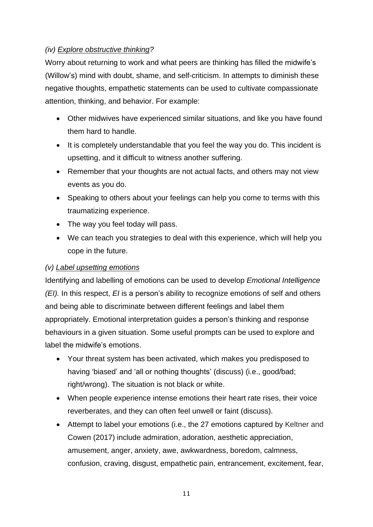# *(iv) Explore obstructive thinking?*

Worry about returning to work and what peers are thinking has filled the midwife's (Willow's) mind with doubt, shame, and self-criticism. In attempts to diminish these negative thoughts, empathetic statements can be used to cultivate compassionate attention, thinking, and behavior. For example:

- Other midwives have experienced similar situations, and like you have found them hard to handle.
- It is completely understandable that you feel the way you do. This incident is upsetting, and it difficult to witness another suffering.
- Remember that your thoughts are not actual facts, and others may not view events as you do.
- Speaking to others about your feelings can help you come to terms with this traumatizing experience.
- The way you feel today will pass.
- We can teach you strategies to deal with this experience, which will help you cope in the future.

# *(v) Label upsetting emotions*

Identifying and labelling of emotions can be used to develop *Emotional Intelligence (EI).* In this respect, *EI* is a person's ability to recognize emotions of self and others and being able to discriminate between different feelings and label them appropriately. Emotional interpretation guides a person's thinking and response behaviours in a given situation. Some useful prompts can be used to explore and label the midwife's emotions.

- Your threat system has been activated, which makes you predisposed to having 'biased' and 'all or nothing thoughts' (discuss) (i.e., good/bad; right/wrong). The situation is not black or white.
- When people experience intense emotions their heart rate rises, their voice reverberates, and they can often feel unwell or faint (discuss).
- Attempt to label your emotions (i.e., the 27 emotions captured by Keltner and Cowen (2017) include admiration, adoration, aesthetic appreciation, amusement, anger, anxiety, awe, awkwardness, boredom, calmness, confusion, craving, disgust, empathetic pain, entrancement, excitement, fear,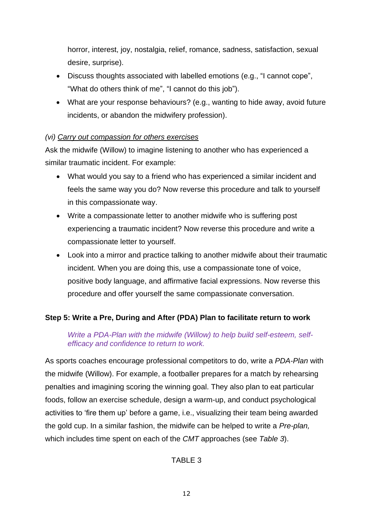horror, interest, joy, nostalgia, relief, romance, sadness, satisfaction, sexual desire, surprise).

- Discuss thoughts associated with labelled emotions (e.g., "I cannot cope", "What do others think of me", "I cannot do this job").
- What are your response behaviours? (e.g., wanting to hide away, avoid future incidents, or abandon the midwifery profession).

# *(vi) Carry out compassion for others exercises*

Ask the midwife (Willow) to imagine listening to another who has experienced a similar traumatic incident. For example:

- What would you say to a friend who has experienced a similar incident and feels the same way you do? Now reverse this procedure and talk to yourself in this compassionate way.
- Write a compassionate letter to another midwife who is suffering post experiencing a traumatic incident? Now reverse this procedure and write a compassionate letter to yourself.
- Look into a mirror and practice talking to another midwife about their traumatic incident. When you are doing this, use a compassionate tone of voice, positive body language, and affirmative facial expressions. Now reverse this procedure and offer yourself the same compassionate conversation.

# **Step 5: Write a Pre, During and After (PDA) Plan to facilitate return to work**

# *Write a PDA-Plan with the midwife (Willow) to help build self-esteem, selfefficacy and confidence to return to work.*

As sports coaches encourage professional competitors to do, write a *PDA-Plan* with the midwife (Willow). For example, a footballer prepares for a match by rehearsing penalties and imagining scoring the winning goal. They also plan to eat particular foods, follow an exercise schedule, design a warm-up, and conduct psychological activities to 'fire them up' before a game, i.e., visualizing their team being awarded the gold cup. In a similar fashion, the midwife can be helped to write a *Pre-plan,* which includes time spent on each of the *CMT* approaches (see *Table 3*).

# TABLE 3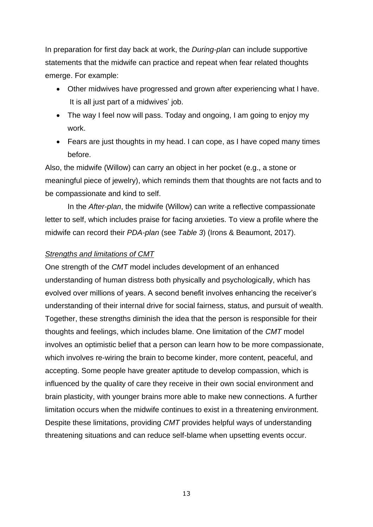In preparation for first day back at work, the *During-plan* can include supportive statements that the midwife can practice and repeat when fear related thoughts emerge. For example:

- Other midwives have progressed and grown after experiencing what I have. It is all just part of a midwives' job.
- The way I feel now will pass. Today and ongoing, I am going to enjoy my work.
- Fears are just thoughts in my head. I can cope, as I have coped many times before.

Also, the midwife (Willow) can carry an object in her pocket (e.g., a stone or meaningful piece of jewelry), which reminds them that thoughts are not facts and to be compassionate and kind to self.

In the *After-plan*, the midwife (Willow) can write a reflective compassionate letter to self, which includes praise for facing anxieties. To view a profile where the midwife can record their *PDA-plan* (see *Table 3*) (Irons & Beaumont, 2017).

#### *Strengths and limitations of CMT*

One strength of the *CMT* model includes development of an enhanced understanding of human distress both physically and psychologically, which has evolved over millions of years. A second benefit involves enhancing the receiver's understanding of their internal drive for social fairness, status, and pursuit of wealth. Together, these strengths diminish the idea that the person is responsible for their thoughts and feelings, which includes blame. One limitation of the *CMT* model involves an optimistic belief that a person can learn how to be more compassionate, which involves re-wiring the brain to become kinder, more content, peaceful, and accepting. Some people have greater aptitude to develop compassion, which is influenced by the quality of care they receive in their own social environment and brain plasticity, with younger brains more able to make new connections. A further limitation occurs when the midwife continues to exist in a threatening environment. Despite these limitations, providing *CMT* provides helpful ways of understanding threatening situations and can reduce self-blame when upsetting events occur.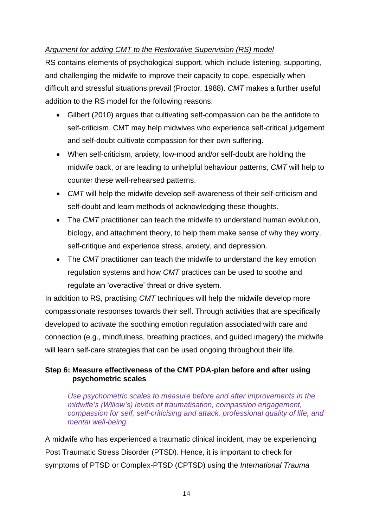# *Argument for adding CMT to the Restorative Supervision (RS) model*

RS contains elements of psychological support, which include listening, supporting, and challenging the midwife to improve their capacity to cope, especially when difficult and stressful situations prevail (Proctor, 1988). *CMT* makes a further useful addition to the RS model for the following reasons:

- Gilbert (2010) argues that cultivating self-compassion can be the antidote to self-criticism. CMT may help midwives who experience self-critical judgement and self-doubt cultivate compassion for their own suffering.
- When self-criticism, anxiety, low-mood and/or self-doubt are holding the midwife back, or are leading to unhelpful behaviour patterns, *CMT* will help to counter these well-rehearsed patterns.
- *CMT* will help the midwife develop self-awareness of their self-criticism and self-doubt and learn methods of acknowledging these thoughts.
- The *CMT* practitioner can teach the midwife to understand human evolution, biology, and attachment theory, to help them make sense of why they worry, self-critique and experience stress, anxiety, and depression.
- The *CMT* practitioner can teach the midwife to understand the key emotion regulation systems and how *CMT* practices can be used to soothe and regulate an 'overactive' threat or drive system.

In addition to RS, practising *CMT* techniques will help the midwife develop more compassionate responses towards their self. Through activities that are specifically developed to activate the soothing emotion regulation associated with care and connection (e.g., mindfulness, breathing practices, and guided imagery) the midwife will learn self-care strategies that can be used ongoing throughout their life.

# **Step 6: Measure effectiveness of the CMT PDA-plan before and after using psychometric scales**

*Use psychometric scales to measure before and after improvements in the midwife's (Willow's) levels of traumatisation, compassion engagement, compassion for self, self-criticising and attack, professional quality of life, and mental well-being.*

A midwife who has experienced a traumatic clinical incident, may be experiencing Post Traumatic Stress Disorder (PTSD). Hence, it is important to check for symptoms of PTSD or Complex-PTSD (CPTSD) using the *International Trauma*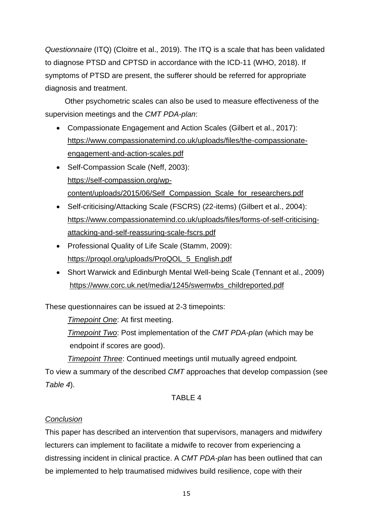*Questionnaire* (ITQ) (Cloitre et al., 2019). The ITQ is a scale that has been validated to diagnose PTSD and CPTSD in accordance with the ICD-11 (WHO, 2018). If symptoms of PTSD are present, the sufferer should be referred for appropriate diagnosis and treatment.

 Other psychometric scales can also be used to measure effectiveness of the supervision meetings and the *CMT PDA-plan*:

- Compassionate Engagement and Action Scales (Gilbert et al., 2017): [https://www.compassionatemind.co.uk/uploads/files/the-compassionate](https://www.compassionatemind.co.uk/uploads/files/the-compassionate-engagement-and-action-scales.pdf)[engagement-and-action-scales.pdf](https://www.compassionatemind.co.uk/uploads/files/the-compassionate-engagement-and-action-scales.pdf)
- Self-Compassion Scale (Neff, 2003): [https://self-compassion.org/wp](https://self-compassion.org/wp-content/uploads/2015/06/Self_Compassion_Scale_for_researchers.pdf)[content/uploads/2015/06/Self\\_Compassion\\_Scale\\_for\\_researchers.pdf](https://self-compassion.org/wp-content/uploads/2015/06/Self_Compassion_Scale_for_researchers.pdf)
- Self-criticising/Attacking Scale (FSCRS) (22-items) (Gilbert et al., 2004): [https://www.compassionatemind.co.uk/uploads/files/forms-of-self-criticising](https://www.compassionatemind.co.uk/uploads/files/forms-of-self-criticising-attacking-and-self-reassuring-scale-fscrs.pdf)[attacking-and-self-reassuring-scale-fscrs.pdf](https://www.compassionatemind.co.uk/uploads/files/forms-of-self-criticising-attacking-and-self-reassuring-scale-fscrs.pdf)
- Professional Quality of Life Scale (Stamm, 2009): [https://proqol.org/uploads/ProQOL\\_5\\_English.pdf](https://proqol.org/uploads/ProQOL_5_English.pdf)
- Short Warwick and Edinburgh Mental Well-being Scale (Tennant et al., 2009) [https://www.corc.uk.net/media/1245/swemwbs\\_childreported.pdf](https://www.corc.uk.net/media/1245/swemwbs_childreported.pdf)

These questionnaires can be issued at 2-3 timepoints:

*Timepoint One*: At first meeting.

*Timepoint Two*: Post implementation of the *CMT PDA-plan* (which may be endpoint if scores are good).

*Timepoint Three*: Continued meetings until mutually agreed endpoint*.*

To view a summary of the described *CMT* approaches that develop compassion (see *Table 4*).

# TABLE 4

# *Conclusion*

This paper has described an intervention that supervisors, managers and midwifery lecturers can implement to facilitate a midwife to recover from experiencing a distressing incident in clinical practice. A *CMT PDA-plan* has been outlined that can be implemented to help traumatised midwives build resilience, cope with their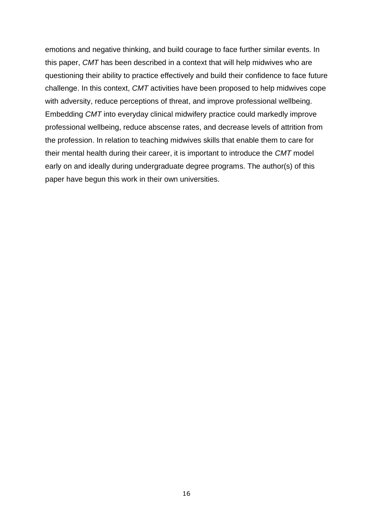emotions and negative thinking, and build courage to face further similar events. In this paper, *CMT* has been described in a context that will help midwives who are questioning their ability to practice effectively and build their confidence to face future challenge. In this context, *CMT* activities have been proposed to help midwives cope with adversity, reduce perceptions of threat, and improve professional wellbeing. Embedding *CMT* into everyday clinical midwifery practice could markedly improve professional wellbeing, reduce abscense rates, and decrease levels of attrition from the profession. In relation to teaching midwives skills that enable them to care for their mental health during their career, it is important to introduce the *CMT* model early on and ideally during undergraduate degree programs. The author(s) of this paper have begun this work in their own universities.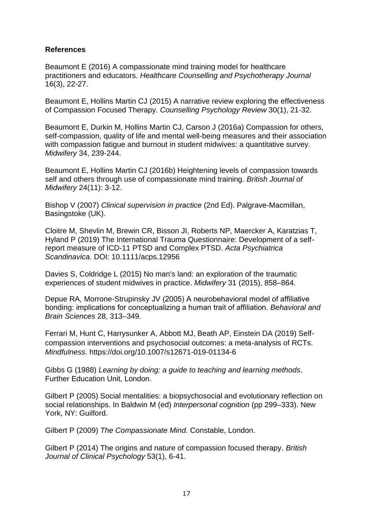## **References**

Beaumont E (2016) A compassionate mind training model for healthcare practitioners and educators. *Healthcare Counselling and Psychotherapy Journal* 16(3), 22-27.

Beaumont E, Hollins Martin CJ (2015) A narrative review exploring the effectiveness of Compassion Focused Therapy. *Counselling Psychology Review* 30(1), 21-32.

Beaumont E, Durkin M, Hollins Martin CJ, Carson J (2016a) Compassion for others, self-compassion, quality of life and mental well-being measures and their association with compassion fatigue and burnout in student midwives: a quantitative survey. *Midwifery* 34, 239-244.

Beaumont E, Hollins Martin CJ (2016b) Heightening levels of compassion towards self and others through use of compassionate mind training. *British Journal of Midwifery* 24(11): 3-12.

Bishop V (2007) *Clinical supervision in practice* (2nd Ed). Palgrave-Macmillan, Basingstoke (UK).

Cloitre M, Shevlin M, Brewin CR, Bisson JI, Roberts NP, Maercker A, Karatzias T, Hyland P (2019) The International Trauma Questionnaire: Development of a selfreport measure of ICD-11 PTSD and Complex PTSD. *Acta Psychiatrica Scandinavica.* DOI: 10.1111/acps.12956

Davies S, Coldridge L (2015) No man's land: an exploration of the traumatic experiences of student midwives in practice. *Midwifery* 31 (2015), 858–864.

Depue RA, Morrone-Strupinsky JV (2005) A neurobehavioral model of affiliative bonding: implications for conceptualizing a human trait of affiliation. *Behavioral and Brain Sciences* 28, 313–349.

Ferrari M, Hunt C, Harrysunker A, Abbott MJ, Beath AP, Einstein DA (2019) Selfcompassion interventions and psychosocial outcomes: a meta-analysis of RCTs. *Mindfulness*. https://doi.org/10.1007/s12671-019-01134-6

Gibbs G (1988) *Learning by doing: a guide to teaching and learning methods*. Further Education Unit, London.

Gilbert P (2005) Social mentalities: a biopsychosocial and evolutionary reflection on social relationships. In Baldwin M (ed) *Interpersonal cognition* (pp 299–333). New York, NY: Guilford.

Gilbert P (2009) *The Compassionate Mind.* Constable, London.

Gilbert P (2014) The origins and nature of compassion focused therapy. *British Journal of Clinical Psychology* 53(1), 6-41.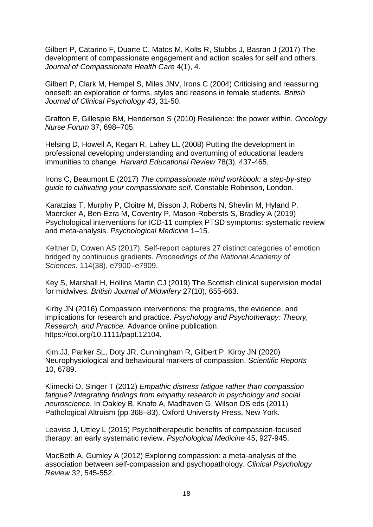Gilbert P, Catarino F, Duarte C, Matos M, Kolts R, Stubbs J, Basran J (2017) The development of compassionate engagement and action scales for self and others. *Journal of Compassionate Health Care* 4(1), 4.

Gilbert P, Clark M, Hempel S, Miles JNV, Irons C (2004) Criticising and reassuring oneself: an exploration of forms, styles and reasons in female students. *British Journal of Clinical Psychology 43*, 31-50.

Grafton E, Gillespie BM, Henderson S (2010) Resilience: the power within. *Oncology Nurse Forum* 37, 698–705.

Helsing D, Howell A, Kegan R, Lahey LL (2008) Putting the development in professional developing understanding and overturning of educational leaders immunities to change. *[Harvard Educational Review](about:blank)* 78(3), 437-465.

Irons C, Beaumont E (2017) *The compassionate mind workbook: a step-by-step guide to cultivating your compassionate self*. Constable Robinson, London.

Karatzias T, Murphy P, Cloitre M, Bisson J, Roberts N, Shevlin M, Hyland P, Maercker A, Ben-Ezra M, Coventry P, Mason-Robersts S, Bradley A (2019) Psychological interventions for ICD-11 complex PTSD symptoms: systematic review and meta-analysis. *Psychological Medicine* 1–15.

Keltner D, Cowen AS (2017). Self-report captures 27 distinct categories of emotion bridged by continuous gradients. *Proceedings of the National Academy of Sciences*. 114(38), e7900–e7909.

Key S, Marshall H, Hollins Martin CJ (2019) The Scottish clinical supervision model for midwives. *British Journal of Midwifery* 27(10), 655-663.

Kirby JN (2016) Compassion interventions: the programs, the evidence, and implications for research and practice. *Psychology and Psychotherapy: Theory, Research, and Practice.* Advance online publication. [https://doi.org/10.1111/papt.12104.](about:blank)

Kim JJ, Parker SL, Doty JR, Cunningham R, Gilbert P, Kirby JN (2020) Neurophysiological and behavioural markers of compassion. *Scientific Reports* 10, 6789.

Klimecki O, Singer T (2012) *Empathic distress fatigue rather than compassion fatigue? Integrating findings from empathy research in psychology and social neuroscience*. In Oakley B, Knafo A, Madhaven G, Wilson DS eds (2011) Pathological Altruism (pp 368–83). Oxford University Press, New York.

Leaviss J, Uttley L (2015) Psychotherapeutic benefits of compassion-focused therapy: an early systematic review. *Psychological Medicine* 45, 927-945.

MacBeth A, Gumley A (2012) Exploring compassion: a meta-analysis of the association between self-compassion and psychopathology. *Clinical Psychology Review* 32, 545-552.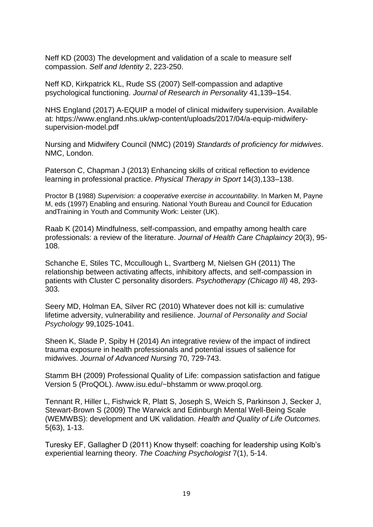Neff KD (2003) The development and validation of a scale to measure self compassion. *Self and Identity* 2, 223-250.

Neff KD, Kirkpatrick KL, Rude SS (2007) Self-compassion and adaptive psychological functioning. *Journal of Research in Personality* 41,139–154.

NHS England (2017) A-EQUIP a model of clinical midwifery supervision. Available at: [https://www.england.nhs.uk/wp-content/uploads/2017/04/a-equip-midwifery](https://www.england.nhs.uk/wp-content/uploads/2017/04/a-equip-midwifery-supervision-model.pdf)[supervision-model.pdf](https://www.england.nhs.uk/wp-content/uploads/2017/04/a-equip-midwifery-supervision-model.pdf)

Nursing and Midwifery Council (NMC) (2019) *Standards of proficiency for midwives*. NMC, London.

Paterson C, Chapman J (2013) Enhancing skills of critical reflection to evidence learning in professional practice. *Physical Therapy in Sport* 14(3),133–138.

Proctor B (1988) *Supervision: a cooperative exercise in accountability*. In Marken M, Payne M, eds (1997) Enabling and ensuring. National Youth Bureau and Council for Education andTraining in Youth and Community Work: Leister (UK).

Raab K (2014) Mindfulness, self-compassion, and empathy among health care professionals: a review of the literature. *Journal of Health Care Chaplaincy* 20(3), 95- 108.

Schanche E, Stiles TC, Mccullough L, Svartberg M, Nielsen GH (2011) The relationship between activating affects, inhibitory affects, and self-compassion in patients with Cluster C personality disorders. *Psychotherapy (Chicago Ill)* 48, 293- 303.

Seery MD, Holman EA, Silver RC (2010) Whatever does not kill is: cumulative lifetime adversity, vulnerability and resilience. *Journal of Personality and Social Psychology* 99,1025-1041.

Sheen K, Slade P, Spiby H (2014) An integrative review of the impact of indirect trauma exposure in health professionals and potential issues of salience for midwives. *Journal of Advanced Nursing* 70, 729-743.

Stamm BH (2009) Professional Quality of Life: compassion satisfaction and fatigue Version 5 (ProQOL). /www.isu.edu/~bhstamm or www.proqol.org.

Tennant R, Hiller L, Fishwick R, Platt S, Joseph S, Weich S, Parkinson J, Secker J, Stewart-Brown S (2009) The Warwick and Edinburgh Mental Well-Being Scale (WEMWBS): development and UK validation. *Health and Quality of Life Outcomes.* 5(63), 1-13.

Turesky EF, Gallagher D (2011) Know thyself: coaching for leadership using Kolb's experiential learning theory. *The Coaching Psychologist* 7(1), 5-14.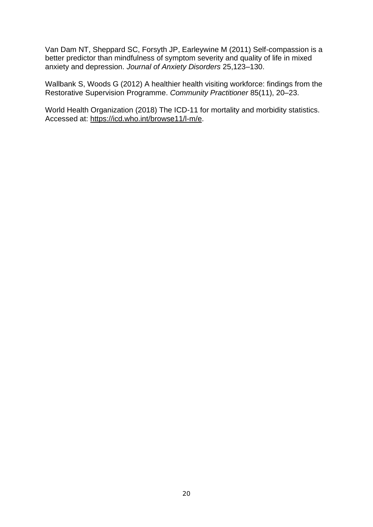Van Dam NT, Sheppard SC, Forsyth JP, Earleywine M (2011) Self-compassion is a better predictor than mindfulness of symptom severity and quality of life in mixed anxiety and depression. *Journal of Anxiety Disorders* 25,123–130.

Wallbank S, Woods G (2012) A healthier health visiting workforce: findings from the Restorative Supervision Programme. *Community Practitioner* 85(11), 20–23.

World Health Organization (2018) The ICD-11 for mortality and morbidity statistics. Accessed at: [https://icd.who.int/browse11/l-m/e.](https://icd.who.int/browse11/l-m/e)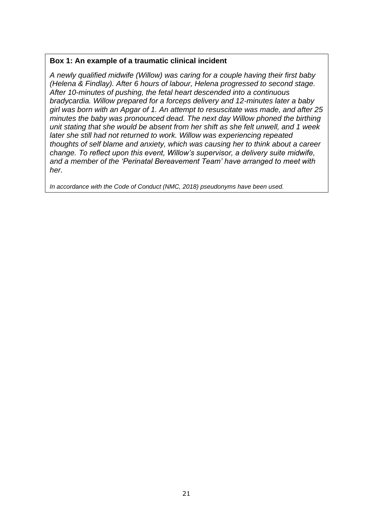## **Box 1: An example of a traumatic clinical incident**

*A newly qualified midwife (Willow) was caring for a couple having their first baby (Helena & Findlay). After 6 hours of labour, Helena progressed to second stage. After 10-minutes of pushing, the fetal heart descended into a continuous bradycardia. Willow prepared for a forceps delivery and 12-minutes later a baby girl was born with an Apgar of 1. An attempt to resuscitate was made, and after 25 minutes the baby was pronounced dead. The next day Willow phoned the birthing unit stating that she would be absent from her shift as she felt unwell, and 1 week later she still had not returned to work. Willow was experiencing repeated thoughts of self blame and anxiety, which was causing her to think about a career change. To reflect upon this event, Willow's supervisor, a delivery suite midwife, and a member of the 'Perinatal Bereavement Team' have arranged to meet with her.* 

*In accordance with the Code of Conduct (NMC, 2018) pseudonyms have been used.*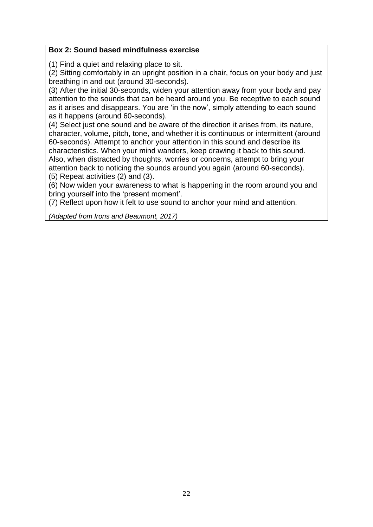## **Box 2: Sound based mindfulness exercise**

(1) Find a quiet and relaxing place to sit.

(2) Sitting comfortably in an upright position in a chair, focus on your body and just breathing in and out (around 30-seconds).

(3) After the initial 30-seconds, widen your attention away from your body and pay attention to the sounds that can be heard around you. Be receptive to each sound as it arises and disappears. You are 'in the now', simply attending to each sound as it happens (around 60-seconds).

(4) Select just one sound and be aware of the direction it arises from, its nature, character, volume, pitch, tone, and whether it is continuous or intermittent (around 60-seconds). Attempt to anchor your attention in this sound and describe its characteristics. When your mind wanders, keep drawing it back to this sound. Also, when distracted by thoughts, worries or concerns, attempt to bring your attention back to noticing the sounds around you again (around 60-seconds). (5) Repeat activities (2) and (3).

(6) Now widen your awareness to what is happening in the room around you and bring yourself into the 'present moment'.

(7) Reflect upon how it felt to use sound to anchor your mind and attention.

*(Adapted from Irons and Beaumont, 2017)*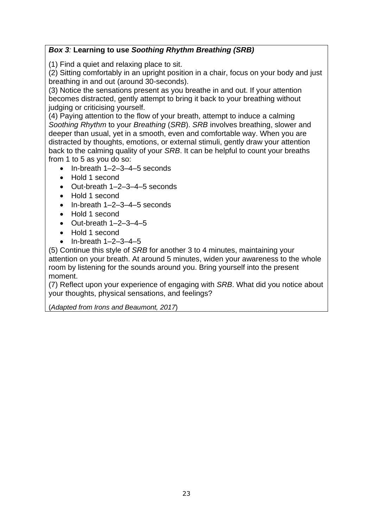# *Box 3:* **Learning to use** *Soothing Rhythm Breathing (SRB)*

(1) Find a quiet and relaxing place to sit.

(2) Sitting comfortably in an upright position in a chair, focus on your body and just breathing in and out (around 30-seconds).

(3) Notice the sensations present as you breathe in and out. If your attention becomes distracted, gently attempt to bring it back to your breathing without judging or criticising yourself.

(4) Paying attention to the flow of your breath, attempt to induce a calming *Soothing Rhythm* to your *Breathing* (*SRB*). *SRB* involves breathing, slower and deeper than usual, yet in a smooth, even and comfortable way. When you are distracted by thoughts, emotions, or external stimuli, gently draw your attention back to the calming quality of your *SRB*. It can be helpful to count your breaths from 1 to 5 as you do so:

- In-breath 1–2–3–4–5 seconds
- Hold 1 second
- Out-breath 1–2–3–4–5 seconds
- Hold 1 second
- In-breath 1–2–3–4–5 seconds
- Hold 1 second
- $\bullet$  Out-breath  $1-2-3-4-5$
- Hold 1 second
- In-breath 1–2–3–4–5

(5) Continue this style of *SRB* for another 3 to 4 minutes, maintaining your attention on your breath. At around 5 minutes, widen your awareness to the whole room by listening for the sounds around you. Bring yourself into the present moment.

(7) Reflect upon your experience of engaging with *SRB*. What did you notice about your thoughts, physical sensations, and feelings?

(*Adapted from Irons and Beaumont, 2017*)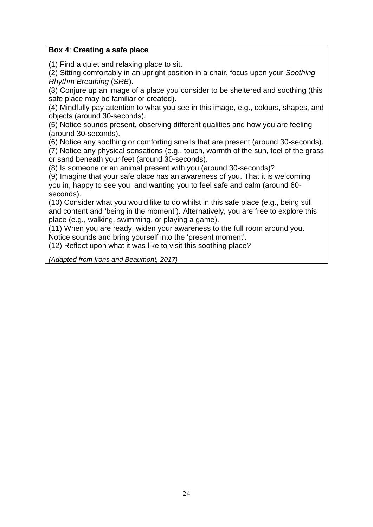## **Box 4**: **Creating a safe place**

(1) Find a quiet and relaxing place to sit.

(2) Sitting comfortably in an upright position in a chair, focus upon your *Soothing Rhythm Breathing* (*SRB*).

(3) Conjure up an image of a place you consider to be sheltered and soothing (this safe place may be familiar or created).

(4) Mindfully pay attention to what you see in this image, e.g., colours, shapes, and objects (around 30-seconds).

(5) Notice sounds present, observing different qualities and how you are feeling (around 30-seconds).

(6) Notice any soothing or comforting smells that are present (around 30-seconds).

(7) Notice any physical sensations (e.g., touch, warmth of the sun, feel of the grass or sand beneath your feet (around 30-seconds).

(8) Is someone or an animal present with you (around 30-seconds)?

(9) Imagine that your safe place has an awareness of you. That it is welcoming you in, happy to see you, and wanting you to feel safe and calm (around 60 seconds).

(10) Consider what you would like to do whilst in this safe place (e.g., being still and content and 'being in the moment'). Alternatively, you are free to explore this place (e.g., walking, swimming, or playing a game).

(11) When you are ready, widen your awareness to the full room around you. Notice sounds and bring yourself into the 'present moment'.

(12) Reflect upon what it was like to visit this soothing place?

*(Adapted from Irons and Beaumont, 2017)*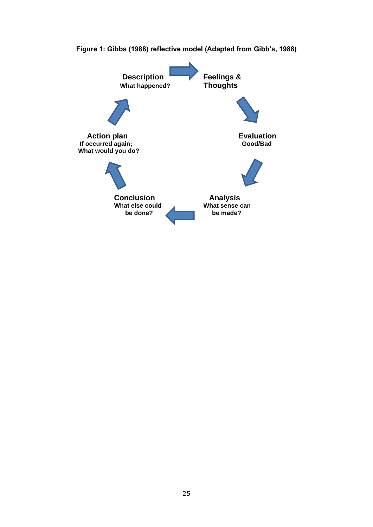

**Figure 1: Gibbs (1988) reflective model (Adapted from Gibb's, 1988)**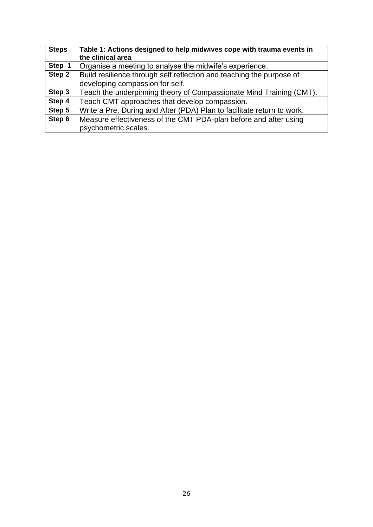| <b>Steps</b> | Table 1: Actions designed to help midwives cope with trauma events in<br>the clinical area |
|--------------|--------------------------------------------------------------------------------------------|
| Step 1       | Organise a meeting to analyse the midwife's experience.                                    |
| Step 2       | Build resilience through self reflection and teaching the purpose of                       |
|              | developing compassion for self.                                                            |
| Step 3       | Teach the underpinning theory of Compassionate Mind Training (CMT).                        |
| Step 4       | Teach CMT approaches that develop compassion.                                              |
| Step 5       | Write a Pre, During and After (PDA) Plan to facilitate return to work.                     |
| Step 6       | Measure effectiveness of the CMT PDA-plan before and after using                           |
|              | psychometric scales.                                                                       |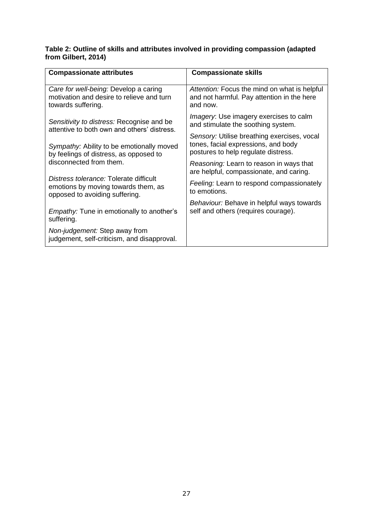#### **Table 2: Outline of skills and attributes involved in providing compassion (adapted from Gilbert, 2014)**

| <b>Compassionate attributes</b>                                                                                 | <b>Compassionate skills</b>                                                                                               |  |
|-----------------------------------------------------------------------------------------------------------------|---------------------------------------------------------------------------------------------------------------------------|--|
| Care for well-being: Develop a caring<br>motivation and desire to relieve and turn<br>towards suffering.        | Attention: Focus the mind on what is helpful<br>and not harmful. Pay attention in the here<br>and now.                    |  |
| Sensitivity to distress: Recognise and be<br>attentive to both own and others' distress.                        | <i>Imagery</i> : Use imagery exercises to calm<br>and stimulate the soothing system.                                      |  |
| Sympathy: Ability to be emotionally moved<br>by feelings of distress, as opposed to                             | Sensory: Utilise breathing exercises, vocal<br>tones, facial expressions, and body<br>postures to help regulate distress. |  |
| disconnected from them.                                                                                         | Reasoning: Learn to reason in ways that<br>are helpful, compassionate, and caring.                                        |  |
| Distress tolerance: Tolerate difficult<br>emotions by moving towards them, as<br>opposed to avoiding suffering. | Feeling: Learn to respond compassionately<br>to emotions.                                                                 |  |
| <i>Empathy:</i> Tune in emotionally to another's<br>suffering.                                                  | Behaviour: Behave in helpful ways towards<br>self and others (requires courage).                                          |  |
| Non-judgement: Step away from<br>judgement, self-criticism, and disapproval.                                    |                                                                                                                           |  |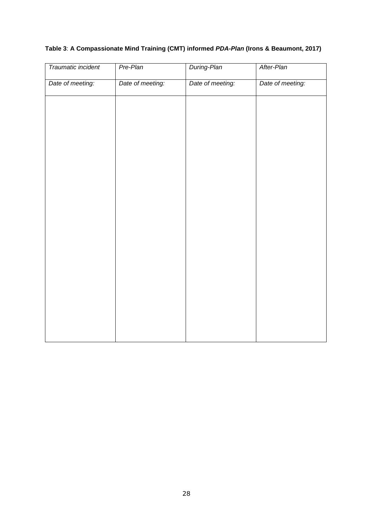# **Table 3**: **A Compassionate Mind Training (CMT) informed** *PDA-Plan* **(Irons & Beaumont, 2017)**

| Traumatic incident | Pre-Plan         | During-Plan      | After-Plan       |
|--------------------|------------------|------------------|------------------|
| Date of meeting:   | Date of meeting: | Date of meeting: | Date of meeting: |
|                    |                  |                  |                  |
|                    |                  |                  |                  |
|                    |                  |                  |                  |
|                    |                  |                  |                  |
|                    |                  |                  |                  |
|                    |                  |                  |                  |
|                    |                  |                  |                  |
|                    |                  |                  |                  |
|                    |                  |                  |                  |
|                    |                  |                  |                  |
|                    |                  |                  |                  |
|                    |                  |                  |                  |
|                    |                  |                  |                  |
|                    |                  |                  |                  |
|                    |                  |                  |                  |
|                    |                  |                  |                  |